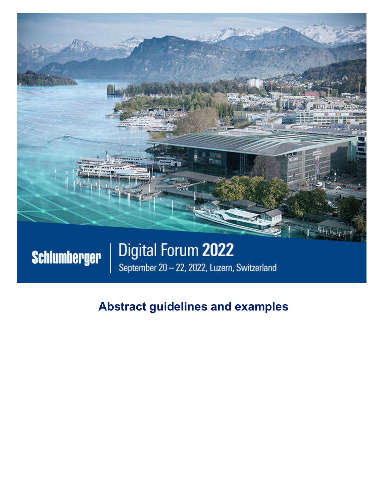

# September 20 - 22, 2022, Luzern, Switzerland

# **Abstract guidelines and examples**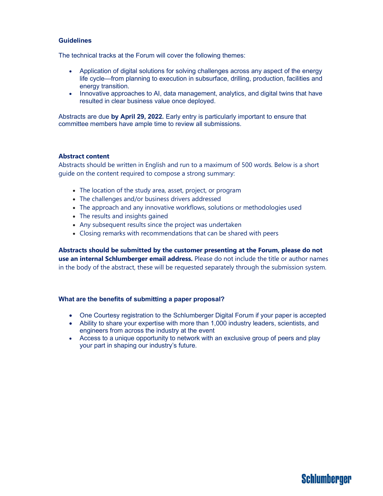#### **Guidelines**

The technical tracks at the Forum will cover the following themes:

- Application of digital solutions for solving challenges across any aspect of the energy life cycle—from planning to execution in subsurface, drilling, production, facilities and energy transition.
- Innovative approaches to AI, data management, analytics, and digital twins that have resulted in clear business value once deployed.

Abstracts are due **by April 29, 2022.** Early entry is particularly important to ensure that committee members have ample time to review all submissions.

#### **Abstract content**

Abstracts should be written in English and run to a maximum of 500 words. Below is a short guide on the content required to compose a strong summary:

- The location of the study area, asset, project, or program
- The challenges and/or business drivers addressed
- The approach and any innovative workflows, solutions or methodologies used
- The results and insights gained
- Any subsequent results since the project was undertaken
- Closing remarks with recommendations that can be shared with peers

**Abstracts should be submitted by the customer presenting at the Forum, please do not use an internal Schlumberger email address.** Please do not include the title or author names in the body of the abstract, these will be requested separately through the submission system.

#### **What are the benefits of submitting a paper proposal?**

- One Courtesy registration to the Schlumberger Digital Forum if your paper is accepted
- Ability to share your expertise with more than 1,000 industry leaders, scientists, and engineers from across the industry at the event
- Access to a unique opportunity to network with an exclusive group of peers and play your part in shaping our industry's future.

### Schlumberger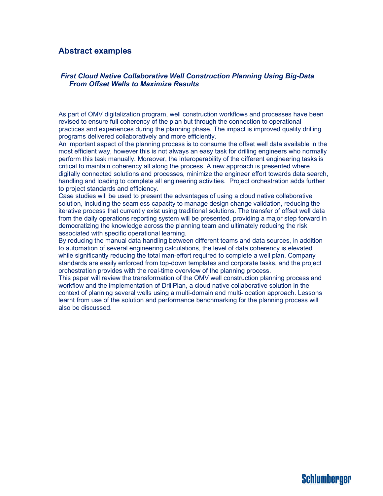#### **Abstract examples**

#### *First Cloud Native Collaborative Well Construction Planning Using Big-Data From Offset Wells to Maximize Results*

As part of OMV digitalization program, well construction workflows and processes have been revised to ensure full coherency of the plan but through the connection to operational practices and experiences during the planning phase. The impact is improved quality drilling programs delivered collaboratively and more efficiently.

An important aspect of the planning process is to consume the offset well data available in the most efficient way, however this is not always an easy task for drilling engineers who normally perform this task manually. Moreover, the interoperability of the different engineering tasks is critical to maintain coherency all along the process. A new approach is presented where digitally connected solutions and processes, minimize the engineer effort towards data search, handling and loading to complete all engineering activities. Project orchestration adds further to project standards and efficiency.

Case studies will be used to present the advantages of using a cloud native collaborative solution, including the seamless capacity to manage design change validation, reducing the iterative process that currently exist using traditional solutions. The transfer of offset well data from the daily operations reporting system will be presented, providing a major step forward in democratizing the knowledge across the planning team and ultimately reducing the risk associated with specific operational learning.

By reducing the manual data handling between different teams and data sources, in addition to automation of several engineering calculations, the level of data coherency is elevated while significantly reducing the total man-effort required to complete a well plan. Company standards are easily enforced from top-down templates and corporate tasks, and the project orchestration provides with the real-time overview of the planning process.

This paper will review the transformation of the OMV well construction planning process and workflow and the implementation of DrillPlan, a cloud native collaborative solution in the context of planning several wells using a multi-domain and multi-location approach. Lessons learnt from use of the solution and performance benchmarking for the planning process will also be discussed.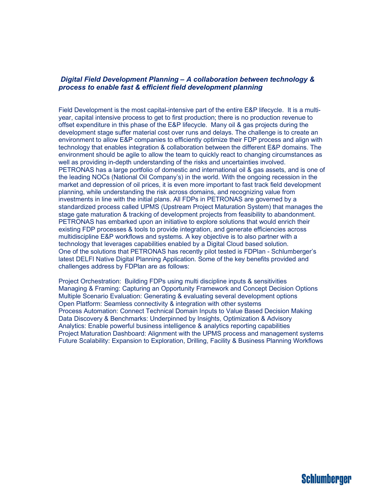#### *Digital Field Development Planning – A collaboration between technology & process to enable fast & efficient field development planning*

Field Development is the most capital-intensive part of the entire E&P lifecycle. It is a multiyear, capital intensive process to get to first production; there is no production revenue to offset expenditure in this phase of the E&P lifecycle. Many oil & gas projects during the development stage suffer material cost over runs and delays. The challenge is to create an environment to allow E&P companies to efficiently optimize their FDP process and align with technology that enables integration & collaboration between the different E&P domains. The environment should be agile to allow the team to quickly react to changing circumstances as well as providing in-depth understanding of the risks and uncertainties involved. PETRONAS has a large portfolio of domestic and international oil & gas assets, and is one of the leading NOCs (National Oil Company's) in the world. With the ongoing recession in the market and depression of oil prices, it is even more important to fast track field development planning, while understanding the risk across domains, and recognizing value from investments in line with the initial plans. All FDPs in PETRONAS are governed by a standardized process called UPMS (Upstream Project Maturation System) that manages the stage gate maturation & tracking of development projects from feasibility to abandonment. PETRONAS has embarked upon an initiative to explore solutions that would enrich their existing FDP processes & tools to provide integration, and generate efficiencies across multidiscipline E&P workflows and systems. A key objective is to also partner with a technology that leverages capabilities enabled by a Digital Cloud based solution. One of the solutions that PETRONAS has recently pilot tested is FDPlan - Schlumberger's latest DELFI Native Digital Planning Application. Some of the key benefits provided and challenges address by FDPlan are as follows:

Project Orchestration: Building FDPs using multi discipline inputs & sensitivities Managing & Framing: Capturing an Opportunity Framework and Concept Decision Options Multiple Scenario Evaluation: Generating & evaluating several development options Open Platform: Seamless connectivity & integration with other systems Process Automation: Connect Technical Domain Inputs to Value Based Decision Making Data Discovery & Benchmarks: Underpinned by Insights, Optimization & Advisory Analytics: Enable powerful business intelligence & analytics reporting capabilities Project Maturation Dashboard: Alignment with the UPMS process and management systems Future Scalability: Expansion to Exploration, Drilling, Facility & Business Planning Workflows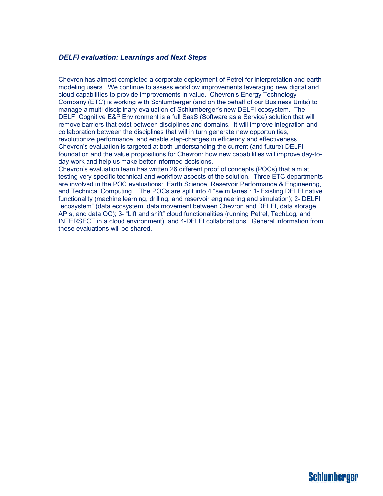#### *DELFI evaluation: Learnings and Next Steps*

Chevron has almost completed a corporate deployment of Petrel for interpretation and earth modeling users. We continue to assess workflow improvements leveraging new digital and cloud capabilities to provide improvements in value. Chevron's Energy Technology Company (ETC) is working with Schlumberger (and on the behalf of our Business Units) to manage a multi-disciplinary evaluation of Schlumberger's new DELFI ecosystem. The DELFI Cognitive E&P Environment is a full SaaS (Software as a Service) solution that will remove barriers that exist between disciplines and domains. It will improve integration and collaboration between the disciplines that will in turn generate new opportunities, revolutionize performance, and enable step-changes in efficiency and effectiveness. Chevron's evaluation is targeted at both understanding the current (and future) DELFI foundation and the value propositions for Chevron: how new capabilities will improve day-today work and help us make better informed decisions.

Chevron's evaluation team has written 26 different proof of concepts (POCs) that aim at testing very specific technical and workflow aspects of the solution. Three ETC departments are involved in the POC evaluations: Earth Science, Reservoir Performance & Engineering, and Technical Computing. The POCs are split into 4 "swim lanes": 1- Existing DELFI native functionality (machine learning, drilling, and reservoir engineering and simulation); 2- DELFI "ecosystem" (data ecosystem, data movement between Chevron and DELFI, data storage, APIs, and data QC); 3- "Lift and shift" cloud functionalities (running Petrel, TechLog, and INTERSECT in a cloud environment); and 4-DELFI collaborations. General information from these evaluations will be shared.

## **Schlumberger**